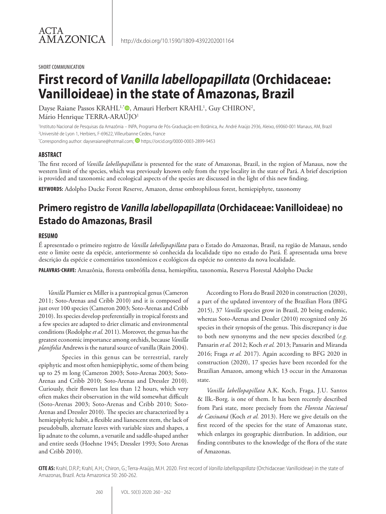SHORT COMMUNICATION

# **First record of** *Vanilla labellopapillata* **(Orchidaceae: Vanilloideae) in the state of Amazonas, Brazil**

Dayse Raiane Passos KRAHL1,\*®, Amauri Herbert KRAHL<sup>1</sup>, Guy CHIRON<sup>2</sup>, Mário Henrique TERRA-ARAÚJO1

1 Instituto Nacional de Pesquisas da Amazônia – INPA, Programa de Pós-Graduação em Botânica, Av. André Araújo 2936, Aleixo, 69060-001 Manaus, AM, Brazil 2 Université de Lyon 1, Herbiers, F-69622, Villeurbanne Cedex, France

\*Corresponding author: dayseraiane@hotmail.com; <sup>1</sup> https://orcid.org/0000-0003-2899-9453

#### **ABSTRACT**

The first record of *Vanilla labellopapillata* is presented for the state of Amazonas, Brazil, in the region of Manaus, now the western limit of the species, which was previously known only from the type locality in the state of Pará. A brief description is provided and taxonomic and ecological aspects of the species are discussed in the light of this new finding.

**KEYWORDS:** Adolpho Ducke Forest Reserve, Amazon, dense ombrophilous forest, hemiepiphyte, taxonomy

# **Primero registro de** *Vanilla labellopapillata* **(Orchidaceae: Vanilloideae) no Estado do Amazonas, Brasil**

#### **RESUMO**

É apresentado o primeiro registro de *Vanilla labellopapillata* para o Estado do Amazonas, Brasil, na região de Manaus, sendo este o limite oeste da espécie, anteriormente só conhecida da localidade tipo no estado do Pará. É apresentada uma breve descrição da espécie e comentários taxonômicos e ecológicos da espécie no contexto da nova localidade.

**PALAVRAS-CHAVE:** Amazônia, floresta ombrófila densa, hemiepífita, taxonomia, Reserva Florestal Adolpho Ducke

*Vanilla* Plumier ex Miller is a pantropical genus (Cameron 2011; Soto-Arenas and Cribb 2010) and it is composed of just over 100 species (Cameron 2003; Soto-Arenas and Cribb 2010). Its species develop preferentially in tropical forests and a few species are adapted to drier climatic and environmental conditions (Rodolphe *et al.* 2011). Moreover, the genus has the greatest economic importance among orchids, because *Vanilla planifolia* Andrews is the natural source of vanilla (Rain 2004).

Species in this genus can be terrestrial, rarely epiphytic and most often hemiepiphytic, some of them being up to 25 m long (Cameron 2003; Soto-Arenas 2003; Soto-Arenas and Cribb 2010; Soto-Arenas and Dressler 2010). Curiously, their flowers last less than 12 hours, which very often makes their observation in the wild somewhat difficult (Soto-Arenas 2003; Soto-Arenas and Cribb 2010; Soto-Arenas and Dressler 2010). The species are characterized by a hemiepiphytic habit, a flexible and lianescent stem, the lack of pseudobulb, alternate leaves with variable sizes and shapes, a lip adnate to the column, a versatile and saddle-shaped anther and entire seeds (Hoehne 1945; Dressler 1993; Soto Arenas and Cribb 2010).

According to Flora do Brasil 2020 in construction (2020), a part of the updated inventory of the Brazilian Flora (BFG 2015), 37 *Vanilla* species grow in Brazil, 20 being endemic, whereas Soto-Arenas and Dessler (2010) recognized only 26 species in their synopsis of the genus. This discrepancy is due to both new synonyms and the new species described (*e.g.*  Pansarin *et al.* 2012; Koch *et al.* 2013; Pansarin and Miranda 2016; Fraga *et al.* 2017). Again according to BFG 2020 in construction (2020), 17 species have been recorded for the Brazilian Amazon, among which 13 occur in the Amazonas state.

*Vanilla labellopapillata* A.K. Koch, Fraga, J.U. Santos & Ilk.-Borg. is one of them. It has been recently described from Pará state, more precisely from the *Floresta Nacional de Caxiuanã* (Koch *et al.* 2013). Here we give details on the first record of the species for the state of Amazonas state, which enlarges its geographic distribution. In addition, our finding contributes to the knowledge of the flora of the state of Amazonas.

**CITE AS:** Krahl, D.R.P.; Krahl, A.H.; Chiron, G.; Terra-Araújo, M.H. 2020. First record of *Vanilla labellopapillata* (Orchidaceae: Vanilloideae) in the state of Amazonas, Brazil. Acta Amazonica 50: 260-262.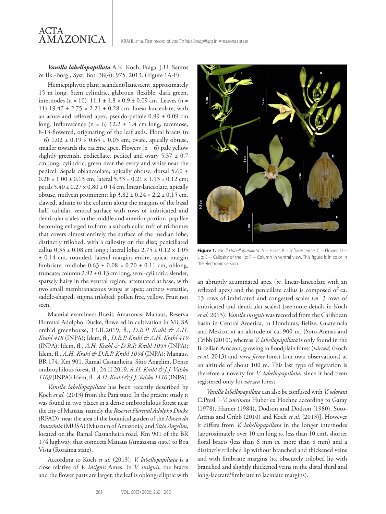

*Vanilla labellopapillata* A.K. Koch, Fraga, J.U. Santos & Ilk.-Borg., Syst. Bot. 38(4): 975. 2013. (Figure 1A-F).

Hemiepiphytic plant, scandent/lianescent, approximately 15 m long. Stem cylindric, glabrous, flexible, dark green, internodes (n = 10)  $11.1 \pm 1.8 \times 0.9 \pm 0.09$  cm. Leaves (n = 11) 19.47 ± 2.75 × 2.21 ± 0.28 cm, linear-lanceolate, with an acute and reflexed apex, pseudo-petiole 0.99 ± 0.09 cm long. Inflorescence  $(n = 6)$  12.2  $\pm$  1.4 cm long, racemose, 8-13-flowered, originating of the leaf axils. Floral bracts (n  $= 6$ )  $1.02 \pm 0.19 \times 0.65 \pm 0.05$  cm, ovate, apically obtuse, smaller towards the raceme apex. Flowers  $(n = 6)$  pale yellow slightly greenish, pedicellate, pedicel and ovary  $5.37 \pm 0.7$ cm long, cylindric, green near the ovary and white near the pedicel. Sepals oblanceolate, apically obtuse, dorsal 5.60 ±  $0.28 \times 1.00 \pm 0.13$  cm, lateral  $5.33 \pm 0.21 \times 1.13 \pm 0.12$  cm; petals  $5.40 \pm 0.27 \times 0.80 \pm 0.14$  cm, linear-lanceolate, apically obtuse, midvein prominent; lip  $3.82 \pm 0.24 \times 2.2 \pm 0.15$  cm, clawed, adnate to the column along the margins of the basal half, tubular, ventral surface with rows of imbricated and denticular scales in the middle and anterior portion, papillae becoming enlarged to form a suborbicular tuft of trichomes that covers almost entirely the surface of the median lobe, distinctly trilobed, with a callosity on the disc; penicillated callus  $0.35 \pm 0.08$  cm long.; lateral lobes  $2.75 \pm 0.12 \times 1.05$ ± 0.14 cm, rounded, lateral margins entire, apical margin fimbriate; midlobe  $0.63 \pm 0.08 \times 0.70 \pm 0.11$  cm, oblong, truncate; column 2.92 ± 0.13 cm long, semi-cylindric, slender, sparsely hairy in the ventral region, attenuated at base, with two small membranaceous wings at apex; anthers versatile, saddle-shaped, stigma trilobed; pollen free, yellow. Fruit not seen.

Material examined: Brazil, Amazonas: Manaus, Reserva Florestal Adolpho Ducke, flowered in cultivation in MUSA orchid greenhouse, 19.II.2019, fl., *D.R.P. Krahl & A.H. Krahl 418* (INPA); Idem, fl., *D.R.P. Krahl & A.H. Krahl 419* (INPA); Idem, fl., *A.H. Krahl & D.R.P. Krahl 1093* (INPA); Idem, fl., *A.H. Krahl & D.R.P. Krahl 1094* (INPA); Manaus, BR 174, Km 901, Ramal Castanheira, Sítio Angelim, Dense ombrophilous forest, fl., 24.II.2019, *A.H. Krahl & J.J. Valsko 1109* (INPA); Idem, fl., *A.H. Krahl & J.J. Valsko 1110* (INPA).

*Vanilla labellopapillata* has been recently described by Koch *et al.* (2013) from the Pará state. In the present study it was found in two places in a dense ombrophilous forest near the city of Manaus, namely the *Reserva Florestal Adolpho Ducke* (RFAD), near the area of the botanical garden of the *Museu da Amazônia* (MUSA) (Museum of Amazonia) and *Sítio Angelim*, located on the Ramal Castanheira road, Km 901 of the BR 174 highway, that connects Manaus (Amazonas state) to Boa Vista (Roraima state).

According to Koch *et al.* (2013), *V. labellopapillata* is a close relative of *V. insignis* Ames. In *V. insignis*, the bracts and the flower parts are larger, the leaf is oblong-elliptic with



**Figure 1.** *Vanilla labellopapillata*. A − Habit; B − Inflorescence; C − Flower; D − Lip; E – Callosity of the lip; F – Column in ventral view. This figure is in color in the electronic version.

an abruptly acuminated apex (*vs.* linear-lanceolate with an reflexed apex) and the penicillate callus is composed of ca. 13 rows of imbricated and congested scales (*vs.* 3 rows of imbricated and denticular scales) (see more details in Koch *et al.* 2013). *Vanilla insignis* was recorded from the Caribbean basin in Central America, in Honduras, Belize, Guatemala and Mexico, at an altitude of ca. 900 m. (Soto-Arenas and Cribb (2010), whereas *V. labellopapillata* is only found in the Brazilian Amazon, growing in floodplain forest (*várzea*) (Koch *et al.* 2013) and *terra firme* forest (our own observations) at an altitude of about 100 m. This last type of vegetation is therefore a novelty for *V. labellopapillata*, since it had been registered only for *várzea* forest.

*Vanilla labellopapillata* can also be confused with *V. odorata*  C.Presl [=*V. uncinata* Huber ex Hoehne according to Garay (1978), Hamer (1984), Dodson and Dodson (1980), Soto-Arenas and Cribb (2010) and Koch *et al.* (2013)]. However it differs from *V. labellopapillata* in the longer internodes (approximately over 10 cm long *vs.* less than 10 cm), shorter floral bracts (less than 6 mm *vs.* more than 8 mm) and a distinctly trilobed lip without branched and thickened veins and with fimbriate margins (*vs.* obscurely trilobed lip with branched and slightly thickened veins in the distal third and long-lacerate/fimbriate to laciniate margins).